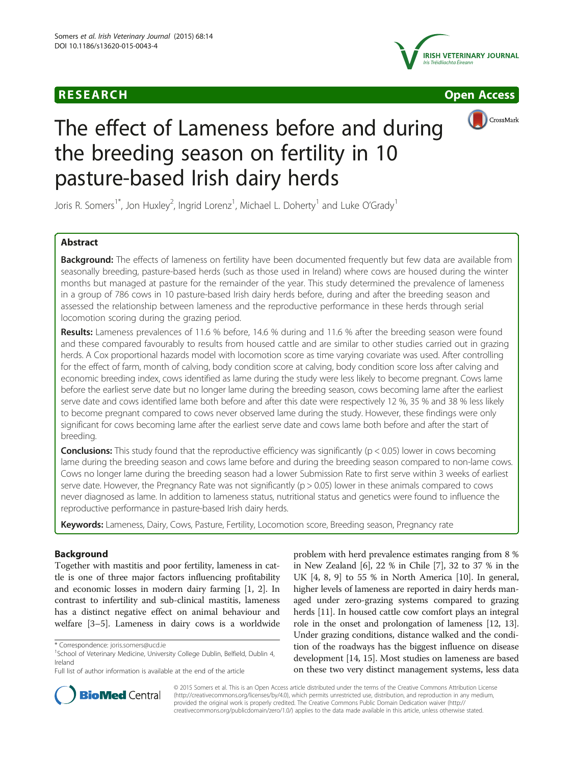### **RESEARCH CHINESE ARCH CHINESE ARCH CHINESE ARCH <b>CHINESE ARCH CHINESE ARCH CHINESE ARCH CHINESE ARCH CHINESE**







# The effect of Lameness before and during the breeding season on fertility in 10 pasture-based Irish dairy herds

Joris R. Somers<sup>1\*</sup>, Jon Huxley<sup>2</sup>, Ingrid Lorenz<sup>1</sup>, Michael L. Doherty<sup>1</sup> and Luke O'Grady<sup>1</sup>

#### Abstract

Background: The effects of lameness on fertility have been documented frequently but few data are available from seasonally breeding, pasture-based herds (such as those used in Ireland) where cows are housed during the winter months but managed at pasture for the remainder of the year. This study determined the prevalence of lameness in a group of 786 cows in 10 pasture-based Irish dairy herds before, during and after the breeding season and assessed the relationship between lameness and the reproductive performance in these herds through serial locomotion scoring during the grazing period.

Results: Lameness prevalences of 11.6 % before, 14.6 % during and 11.6 % after the breeding season were found and these compared favourably to results from housed cattle and are similar to other studies carried out in grazing herds. A Cox proportional hazards model with locomotion score as time varying covariate was used. After controlling for the effect of farm, month of calving, body condition score at calving, body condition score loss after calving and economic breeding index, cows identified as lame during the study were less likely to become pregnant. Cows lame before the earliest serve date but no longer lame during the breeding season, cows becoming lame after the earliest serve date and cows identified lame both before and after this date were respectively 12 %, 35 % and 38 % less likely to become pregnant compared to cows never observed lame during the study. However, these findings were only significant for cows becoming lame after the earliest serve date and cows lame both before and after the start of breeding.

**Conclusions:** This study found that the reproductive efficiency was significantly ( $p < 0.05$ ) lower in cows becoming lame during the breeding season and cows lame before and during the breeding season compared to non-lame cows. Cows no longer lame during the breeding season had a lower Submission Rate to first serve within 3 weeks of earliest serve date. However, the Pregnancy Rate was not significantly ( $p > 0.05$ ) lower in these animals compared to cows never diagnosed as lame. In addition to lameness status, nutritional status and genetics were found to influence the reproductive performance in pasture-based Irish dairy herds.

Keywords: Lameness, Dairy, Cows, Pasture, Fertility, Locomotion score, Breeding season, Pregnancy rate

#### Background

Together with mastitis and poor fertility, lameness in cattle is one of three major factors influencing profitability and economic losses in modern dairy farming [[1](#page-5-0), [2\]](#page-5-0). In contrast to infertility and sub-clinical mastitis, lameness has a distinct negative effect on animal behaviour and welfare [[3](#page-5-0)–[5](#page-5-0)]. Lameness in dairy cows is a worldwide

problem with herd prevalence estimates ranging from 8 % in New Zealand [[6](#page-5-0)], 22 % in Chile [[7](#page-5-0)], 32 to 37 % in the UK [\[4](#page-5-0), [8](#page-6-0), [9\]](#page-6-0) to 55 % in North America [\[10\]](#page-6-0). In general, higher levels of lameness are reported in dairy herds managed under zero-grazing systems compared to grazing herds [[11](#page-6-0)]. In housed cattle cow comfort plays an integral role in the onset and prolongation of lameness [\[12, 13](#page-6-0)]. Under grazing conditions, distance walked and the condition of the roadways has the biggest influence on disease development [\[14, 15](#page-6-0)]. Most studies on lameness are based on these two very distinct management systems, less data



© 2015 Somers et al. This is an Open Access article distributed under the terms of the Creative Commons Attribution License [\(http://creativecommons.org/licenses/by/4.0\)](http://creativecommons.org/licenses/by/4.0), which permits unrestricted use, distribution, and reproduction in any medium, provided the original work is properly credited. The Creative Commons Public Domain Dedication waiver [\(http://](http://creativecommons.org/publicdomain/zero/1.0/) [creativecommons.org/publicdomain/zero/1.0/\)](http://creativecommons.org/publicdomain/zero/1.0/) applies to the data made available in this article, unless otherwise stated.

<sup>\*</sup> Correspondence: [joris.somers@ucd.ie](mailto:joris.somers@ucd.ie) <sup>1</sup>

<sup>&</sup>lt;sup>1</sup>School of Veterinary Medicine, University College Dublin, Belfield, Dublin 4, Ireland

Full list of author information is available at the end of the article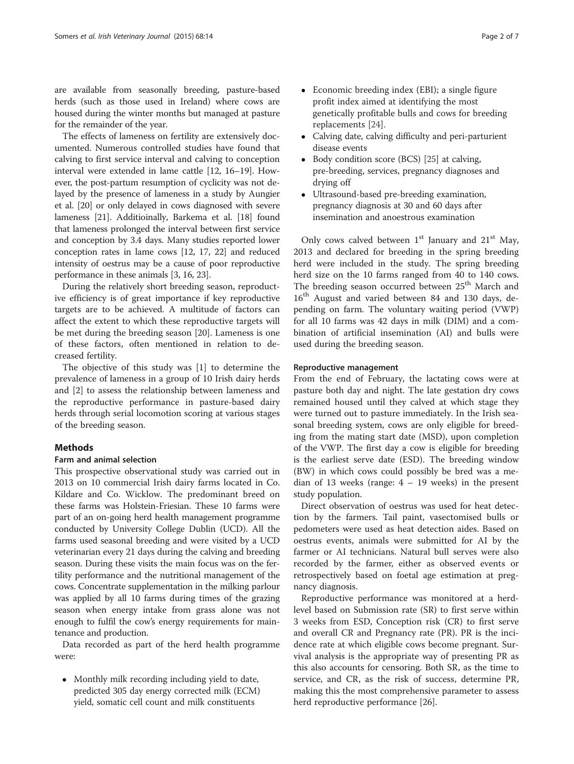are available from seasonally breeding, pasture-based herds (such as those used in Ireland) where cows are housed during the winter months but managed at pasture for the remainder of the year.

The effects of lameness on fertility are extensively documented. Numerous controlled studies have found that calving to first service interval and calving to conception interval were extended in lame cattle [[12](#page-6-0), [16](#page-6-0)–[19\]](#page-6-0). However, the post-partum resumption of cyclicity was not delayed by the presence of lameness in a study by Aungier et al. [\[20\]](#page-6-0) or only delayed in cows diagnosed with severe lameness [\[21\]](#page-6-0). Additioinally, Barkema et al. [\[18\]](#page-6-0) found that lameness prolonged the interval between first service and conception by 3.4 days. Many studies reported lower conception rates in lame cows [[12](#page-6-0), [17](#page-6-0), [22](#page-6-0)] and reduced intensity of oestrus may be a cause of poor reproductive performance in these animals [\[3](#page-5-0), [16](#page-6-0), [23\]](#page-6-0).

During the relatively short breeding season, reproductive efficiency is of great importance if key reproductive targets are to be achieved. A multitude of factors can affect the extent to which these reproductive targets will be met during the breeding season [\[20\]](#page-6-0). Lameness is one of these factors, often mentioned in relation to decreased fertility.

The objective of this study was [[1\]](#page-5-0) to determine the prevalence of lameness in a group of 10 Irish dairy herds and [\[2](#page-5-0)] to assess the relationship between lameness and the reproductive performance in pasture-based dairy herds through serial locomotion scoring at various stages of the breeding season.

#### Methods

#### Farm and animal selection

This prospective observational study was carried out in 2013 on 10 commercial Irish dairy farms located in Co. Kildare and Co. Wicklow. The predominant breed on these farms was Holstein-Friesian. These 10 farms were part of an on-going herd health management programme conducted by University College Dublin (UCD). All the farms used seasonal breeding and were visited by a UCD veterinarian every 21 days during the calving and breeding season. During these visits the main focus was on the fertility performance and the nutritional management of the cows. Concentrate supplementation in the milking parlour was applied by all 10 farms during times of the grazing season when energy intake from grass alone was not enough to fulfil the cow's energy requirements for maintenance and production.

Data recorded as part of the herd health programme were:

• Monthly milk recording including yield to date, predicted 305 day energy corrected milk (ECM) yield, somatic cell count and milk constituents

- Economic breeding index (EBI); a single figure profit index aimed at identifying the most genetically profitable bulls and cows for breeding replacements [\[24\]](#page-6-0).
- Calving date, calving difficulty and peri-parturient disease events
- Body condition score (BCS) [\[25\]](#page-6-0) at calving, pre-breeding, services, pregnancy diagnoses and drying off
- Ultrasound-based pre-breeding examination, pregnancy diagnosis at 30 and 60 days after insemination and anoestrous examination

Only cows calved between  $1<sup>st</sup>$  January and  $21<sup>st</sup>$  May, 2013 and declared for breeding in the spring breeding herd were included in the study. The spring breeding herd size on the 10 farms ranged from 40 to 140 cows. The breeding season occurred between 25<sup>th</sup> March and 16<sup>th</sup> August and varied between 84 and 130 days, depending on farm. The voluntary waiting period (VWP) for all 10 farms was 42 days in milk (DIM) and a combination of artificial insemination (AI) and bulls were used during the breeding season.

#### Reproductive management

From the end of February, the lactating cows were at pasture both day and night. The late gestation dry cows remained housed until they calved at which stage they were turned out to pasture immediately. In the Irish seasonal breeding system, cows are only eligible for breeding from the mating start date (MSD), upon completion of the VWP. The first day a cow is eligible for breeding is the earliest serve date (ESD). The breeding window (BW) in which cows could possibly be bred was a median of 13 weeks (range:  $4 - 19$  weeks) in the present study population.

Direct observation of oestrus was used for heat detection by the farmers. Tail paint, vasectomised bulls or pedometers were used as heat detection aides. Based on oestrus events, animals were submitted for AI by the farmer or AI technicians. Natural bull serves were also recorded by the farmer, either as observed events or retrospectively based on foetal age estimation at pregnancy diagnosis.

Reproductive performance was monitored at a herdlevel based on Submission rate (SR) to first serve within 3 weeks from ESD, Conception risk (CR) to first serve and overall CR and Pregnancy rate (PR). PR is the incidence rate at which eligible cows become pregnant. Survival analysis is the appropriate way of presenting PR as this also accounts for censoring. Both SR, as the time to service, and CR, as the risk of success, determine PR, making this the most comprehensive parameter to assess herd reproductive performance [[26\]](#page-6-0).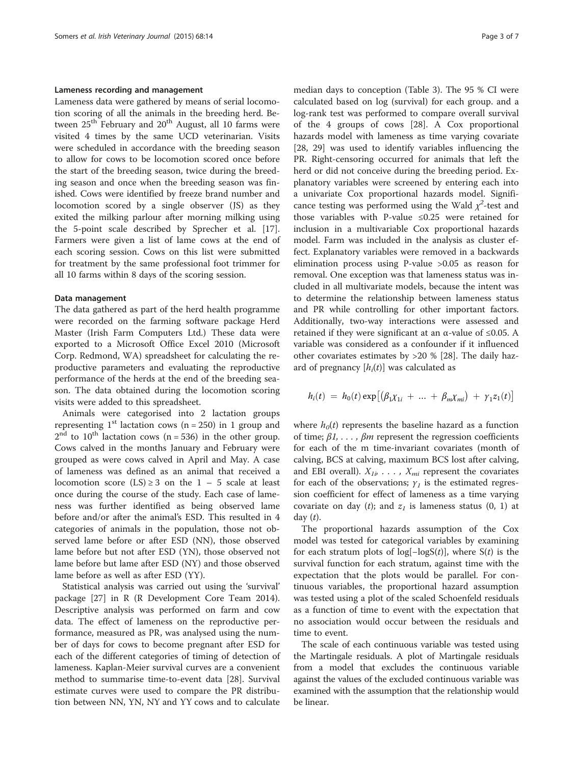#### Lameness recording and management

Lameness data were gathered by means of serial locomotion scoring of all the animals in the breeding herd. Between 25<sup>th</sup> February and 20<sup>th</sup> August, all 10 farms were visited 4 times by the same UCD veterinarian. Visits were scheduled in accordance with the breeding season to allow for cows to be locomotion scored once before the start of the breeding season, twice during the breeding season and once when the breeding season was finished. Cows were identified by freeze brand number and locomotion scored by a single observer (JS) as they exited the milking parlour after morning milking using the 5-point scale described by Sprecher et al. [\[17](#page-6-0)]. Farmers were given a list of lame cows at the end of each scoring session. Cows on this list were submitted for treatment by the same professional foot trimmer for all 10 farms within 8 days of the scoring session.

#### Data management

The data gathered as part of the herd health programme were recorded on the farming software package Herd Master (Irish Farm Computers Ltd.) These data were exported to a Microsoft Office Excel 2010 (Microsoft Corp. Redmond, WA) spreadsheet for calculating the reproductive parameters and evaluating the reproductive performance of the herds at the end of the breeding season. The data obtained during the locomotion scoring visits were added to this spreadsheet.

Animals were categorised into 2 lactation groups representing  $1<sup>st</sup>$  lactation cows (n = 250) in 1 group and  $2<sup>nd</sup>$  to  $10<sup>th</sup>$  lactation cows (n = 536) in the other group. Cows calved in the months January and February were grouped as were cows calved in April and May. A case of lameness was defined as an animal that received a locomotion score  $(LS) \geq 3$  on the 1 – 5 scale at least once during the course of the study. Each case of lameness was further identified as being observed lame before and/or after the animal's ESD. This resulted in 4 categories of animals in the population, those not observed lame before or after ESD (NN), those observed lame before but not after ESD (YN), those observed not lame before but lame after ESD (NY) and those observed lame before as well as after ESD (YY).

Statistical analysis was carried out using the 'survival' package [\[27](#page-6-0)] in R (R Development Core Team 2014). Descriptive analysis was performed on farm and cow data. The effect of lameness on the reproductive performance, measured as PR, was analysed using the number of days for cows to become pregnant after ESD for each of the different categories of timing of detection of lameness. Kaplan-Meier survival curves are a convenient method to summarise time-to-event data [\[28](#page-6-0)]. Survival estimate curves were used to compare the PR distribution between NN, YN, NY and YY cows and to calculate

median days to conception (Table [3\)](#page-4-0). The 95 % CI were calculated based on log (survival) for each group. and a log-rank test was performed to compare overall survival of the 4 groups of cows [\[28\]](#page-6-0). A Cox proportional hazards model with lameness as time varying covariate [[28, 29\]](#page-6-0) was used to identify variables influencing the PR. Right-censoring occurred for animals that left the herd or did not conceive during the breeding period. Explanatory variables were screened by entering each into a univariate Cox proportional hazards model. Significance testing was performed using the Wald  $\chi^2$ -test and those variables with P-value ≤0.25 were retained for inclusion in a multivariable Cox proportional hazards model. Farm was included in the analysis as cluster effect. Explanatory variables were removed in a backwards elimination process using P-value >0.05 as reason for removal. One exception was that lameness status was included in all multivariate models, because the intent was to determine the relationship between lameness status and PR while controlling for other important factors. Additionally, two-way interactions were assessed and retained if they were significant at an α-value of  $\leq 0.05$ . A variable was considered as a confounder if it influenced other covariates estimates by >20 % [\[28\]](#page-6-0). The daily hazard of pregnancy  $[h_i(t)]$  was calculated as

$$
h_i(t) = h_0(t) \exp[(\beta_1 \chi_{1i} + ... + \beta_m \chi_{mi}) + \gamma_1 z_1(t)]
$$

where  $h_0(t)$  represents the baseline hazard as a function of time;  $\beta$ 1, ...,  $\beta$ *m* represent the regression coefficients for each of the m time-invariant covariates (month of calving, BCS at calving, maximum BCS lost after calving, and EBI overall).  $X_{1i}$ , ...,  $X_{mi}$  represent the covariates for each of the observations;  $\gamma_l$  is the estimated regression coefficient for effect of lameness as a time varying covariate on day (*t*); and  $z<sub>1</sub>$  is lameness status (0, 1) at day  $(t)$ .

The proportional hazards assumption of the Cox model was tested for categorical variables by examining for each stratum plots of log[ $-\log S(t)$ ], where  $S(t)$  is the survival function for each stratum, against time with the expectation that the plots would be parallel. For continuous variables, the proportional hazard assumption was tested using a plot of the scaled Schoenfeld residuals as a function of time to event with the expectation that no association would occur between the residuals and time to event.

The scale of each continuous variable was tested using the Martingale residuals. A plot of Martingale residuals from a model that excludes the continuous variable against the values of the excluded continuous variable was examined with the assumption that the relationship would be linear.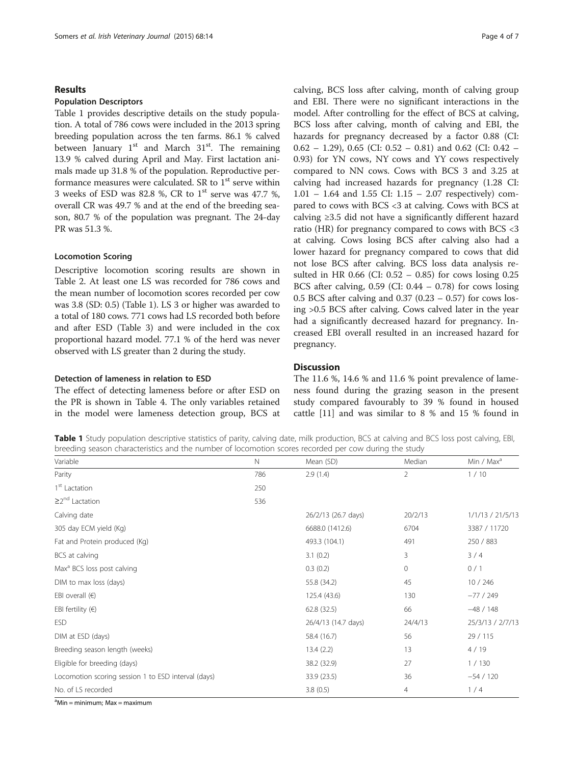#### Results

#### Population Descriptors

Table 1 provides descriptive details on the study population. A total of 786 cows were included in the 2013 spring breeding population across the ten farms. 86.1 % calved between January  $1<sup>st</sup>$  and March  $31<sup>st</sup>$ . The remaining 13.9 % calved during April and May. First lactation animals made up 31.8 % of the population. Reproductive performance measures were calculated. SR to  $1<sup>st</sup>$  serve within 3 weeks of ESD was 82.8 %, CR to  $1<sup>st</sup>$  serve was 47.7 %, overall CR was 49.7 % and at the end of the breeding season, 80.7 % of the population was pregnant. The 24-day PR was 51.3 %.

#### Locomotion Scoring

Descriptive locomotion scoring results are shown in Table [2.](#page-4-0) At least one LS was recorded for 786 cows and the mean number of locomotion scores recorded per cow was 3.8 (SD: 0.5) (Table 1). LS 3 or higher was awarded to a total of 180 cows. 771 cows had LS recorded both before and after ESD (Table [3\)](#page-4-0) and were included in the cox proportional hazard model. 77.1 % of the herd was never observed with LS greater than 2 during the study.

#### Detection of lameness in relation to ESD

The effect of detecting lameness before or after ESD on the PR is shown in Table [4](#page-4-0). The only variables retained in the model were lameness detection group, BCS at calving, BCS loss after calving, month of calving group and EBI. There were no significant interactions in the model. After controlling for the effect of BCS at calving, BCS loss after calving, month of calving and EBI, the hazards for pregnancy decreased by a factor 0.88 (CI:  $0.62 - 1.29$ ),  $0.65$  (CI:  $0.52 - 0.81$ ) and  $0.62$  (CI:  $0.42 -$ 0.93) for YN cows, NY cows and YY cows respectively compared to NN cows. Cows with BCS 3 and 3.25 at calving had increased hazards for pregnancy (1.28 CI: 1.01 – 1.64 and 1.55 CI: 1.15 – 2.07 respectively) compared to cows with BCS <3 at calving. Cows with BCS at calving ≥3.5 did not have a significantly different hazard ratio (HR) for pregnancy compared to cows with BCS <3 at calving. Cows losing BCS after calving also had a lower hazard for pregnancy compared to cows that did not lose BCS after calving. BCS loss data analysis resulted in HR 0.66 (CI: 0.52 – 0.85) for cows losing 0.25 BCS after calving,  $0.59$  (CI:  $0.44 - 0.78$ ) for cows losing 0.5 BCS after calving and 0.37 (0.23 – 0.57) for cows losing >0.5 BCS after calving. Cows calved later in the year had a significantly decreased hazard for pregnancy. Increased EBI overall resulted in an increased hazard for pregnancy.

#### **Discussion**

The 11.6 %, 14.6 % and 11.6 % point prevalence of lameness found during the grazing season in the present study compared favourably to 39 % found in housed cattle [\[11](#page-6-0)] and was similar to 8 % and 15 % found in

Table 1 Study population descriptive statistics of parity, calving date, milk production, BCS at calving and BCS loss post calving, EBI, breeding season characteristics and the number of locomotion scores recorded per cow during the study

| Variable                                            | N   | Mean (SD)           | Median         | Min / Max <sup>a</sup> |
|-----------------------------------------------------|-----|---------------------|----------------|------------------------|
| Parity                                              | 786 | 2.9(1.4)            | 2              | 1/10                   |
| 1 <sup>st</sup> Lactation                           | 250 |                     |                |                        |
| $\geq 2^{nd}$ Lactation                             | 536 |                     |                |                        |
| Calving date                                        |     | 26/2/13 (26.7 days) | 20/2/13        | 1/1/13 / 21/5/13       |
| 305 day ECM yield (Kg)                              |     | 6688.0 (1412.6)     | 6704           | 3387 / 11720           |
| Fat and Protein produced (Kg)                       |     | 493.3 (104.1)       | 491            | 250 / 883              |
| BCS at calving                                      |     | 3.1(0.2)            | 3              | 3/4                    |
| Max <sup>a</sup> BCS loss post calving              |     | 0.3(0.2)            | $\mathbf{0}$   | 0/1                    |
| DIM to max loss (days)                              |     | 55.8 (34.2)         | 45             | 10/246                 |
| EBI overall $(\in)$                                 |     | 125.4 (43.6)        | 130            | $-77/249$              |
| EBI fertility $(\epsilon)$                          |     | 62.8(32.5)          | 66             | $-48/148$              |
| <b>ESD</b>                                          |     | 26/4/13 (14.7 days) | 24/4/13        | 25/3/13 / 2/7/13       |
| DIM at ESD (days)                                   |     | 58.4 (16.7)         | 56             | 29 / 115               |
| Breeding season length (weeks)                      |     | 13.4(2.2)           | 13             | 4/19                   |
| Eligible for breeding (days)                        |     | 38.2 (32.9)         | 27             | 1/130                  |
| Locomotion scoring session 1 to ESD interval (days) |     | 33.9 (23.5)         | 36             | $-54/120$              |
| No. of LS recorded                                  |     | 3.8(0.5)            | $\overline{4}$ | 1/4                    |

<sup>a</sup>Min = minimum; Max = maximum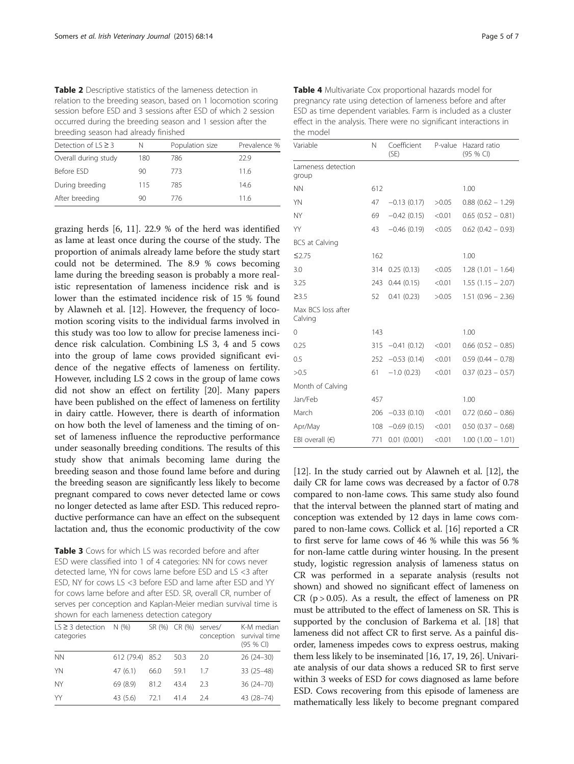<span id="page-4-0"></span>Table 2 Descriptive statistics of the lameness detection in relation to the breeding season, based on 1 locomotion scoring session before ESD and 3 sessions after ESD of which 2 session occurred during the breeding season and 1 session after the breeding season had already finished

| N   | Population size | Prevalence % |
|-----|-----------------|--------------|
| 180 | 786             | 229          |
| 90  | 773             | 11.6         |
| 115 | 785             | 14.6         |
| 90  | 776             | 11.6         |
|     |                 |              |

grazing herds [[6,](#page-5-0) [11\]](#page-6-0). 22.9 % of the herd was identified as lame at least once during the course of the study. The proportion of animals already lame before the study start could not be determined. The 8.9 % cows becoming lame during the breeding season is probably a more realistic representation of lameness incidence risk and is lower than the estimated incidence risk of 15 % found by Alawneh et al. [[12\]](#page-6-0). However, the frequency of locomotion scoring visits to the individual farms involved in this study was too low to allow for precise lameness incidence risk calculation. Combining LS 3, 4 and 5 cows into the group of lame cows provided significant evidence of the negative effects of lameness on fertility. However, including LS 2 cows in the group of lame cows did not show an effect on fertility [\[20](#page-6-0)]. Many papers have been published on the effect of lameness on fertility in dairy cattle. However, there is dearth of information on how both the level of lameness and the timing of onset of lameness influence the reproductive performance under seasonally breeding conditions. The results of this study show that animals becoming lame during the breeding season and those found lame before and during the breeding season are significantly less likely to become pregnant compared to cows never detected lame or cows no longer detected as lame after ESD. This reduced reproductive performance can have an effect on the subsequent lactation and, thus the economic productivity of the cow

Table 3 Cows for which LS was recorded before and after ESD were classified into 1 of 4 categories: NN for cows never detected lame, YN for cows lame before ESD and LS <3 after ESD, NY for cows LS <3 before ESD and lame after ESD and YY for cows lame before and after ESD. SR, overall CR, number of serves per conception and Kaplan-Meier median survival time is shown for each lameness detection category

| $LS \geq 3$ detection<br>categories | N(96)           |      |        | SR (%) CR (%) serves/ | K-M median<br>conception survival time<br>(95 % CI) |
|-------------------------------------|-----------------|------|--------|-----------------------|-----------------------------------------------------|
| <b>NN</b>                           | 612 (79.4) 85.2 |      | - 50.3 | 2.0                   | $26(24-30)$                                         |
| <b>YN</b>                           | 47(6.1)         | 66.0 | 59.1   | 1.7                   | $33(25-48)$                                         |
| <b>NY</b>                           | 69(8.9)         | 81.2 | 43.4   | 23                    | $36(24 - 70)$                                       |
| YY                                  | 43 (5.6)        | 72.1 | 41.4   | 2.4                   | 43 (28-74)                                          |

Table 4 Multivariate Cox proportional hazards model for pregnancy rate using detection of lameness before and after ESD as time dependent variables. Farm is included as a cluster effect in the analysis. There were no significant interactions in the model

| Variable                      | N   | Coefficient<br>(SE) | P-value | Hazard ratio<br>(95 % CI) |
|-------------------------------|-----|---------------------|---------|---------------------------|
| Lameness detection<br>group   |     |                     |         |                           |
| <b>NN</b>                     | 612 |                     |         | 1.00                      |
| YN                            | 47  | $-0.13(0.17)$       | >0.05   | $0.88$ (0.62 - 1.29)      |
| <b>NY</b>                     | 69  | $-0.42(0.15)$       | < 0.01  | $0.65(0.52 - 0.81)$       |
| YY                            | 43  | $-0.46(0.19)$       | < 0.05  | $0.62$ (0.42 - 0.93)      |
| <b>BCS</b> at Calving         |     |                     |         |                           |
| 52.75                         | 162 |                     |         | 1.00                      |
| 3.0                           | 314 | 0.25(0.13)          | < 0.05  | $1.28(1.01 - 1.64)$       |
| 3.25                          | 243 | 0.44(0.15)          | < 0.01  | $1.55(1.15 - 2.07)$       |
| $\geq$ 3.5                    | 52  | 0.41(0.23)          | >0.05   | $1.51(0.96 - 2.36)$       |
| Max BCS loss after<br>Calving |     |                     |         |                           |
| $\Omega$                      | 143 |                     |         | 1.00                      |
| 0.25                          |     | $315 -0.41(0.12)$   | < 0.01  | $0.66$ (0.52 - 0.85)      |
| 0.5                           | 252 | $-0.53(0.14)$       | < 0.01  | $0.59$ (0.44 - 0.78)      |
| >0.5                          | 61  | $-1.0(0.23)$        | < 0.01  | $0.37(0.23 - 0.57)$       |
| Month of Calving              |     |                     |         |                           |
| Jan/Feb                       | 457 |                     |         | 1.00                      |
| March                         |     | $206 -0.33(0.10)$   | < 0.01  | $0.72$ (0.60 - 0.86)      |
| Apr/May                       | 108 | $-0.69(0.15)$       | < 0.01  | $0.50$ $(0.37 - 0.68)$    |
| EBI overall $(\epsilon)$      | 771 | 0.01(0.001)         | < 0.01  | $1.00$ $(1.00 - 1.01)$    |

[[12](#page-6-0)]. In the study carried out by Alawneh et al. [\[12\]](#page-6-0), the daily CR for lame cows was decreased by a factor of 0.78 compared to non-lame cows. This same study also found that the interval between the planned start of mating and conception was extended by 12 days in lame cows compared to non-lame cows. Collick et al. [\[16\]](#page-6-0) reported a CR to first serve for lame cows of 46 % while this was 56 % for non-lame cattle during winter housing. In the present study, logistic regression analysis of lameness status on CR was performed in a separate analysis (results not shown) and showed no significant effect of lameness on  $CR$  (p  $> 0.05$ ). As a result, the effect of lameness on PR must be attributed to the effect of lameness on SR. This is supported by the conclusion of Barkema et al. [[18\]](#page-6-0) that lameness did not affect CR to first serve. As a painful disorder, lameness impedes cows to express oestrus, making them less likely to be inseminated [\[16, 17](#page-6-0), [19](#page-6-0), [26\]](#page-6-0). Univariate analysis of our data shows a reduced SR to first serve within 3 weeks of ESD for cows diagnosed as lame before ESD. Cows recovering from this episode of lameness are mathematically less likely to become pregnant compared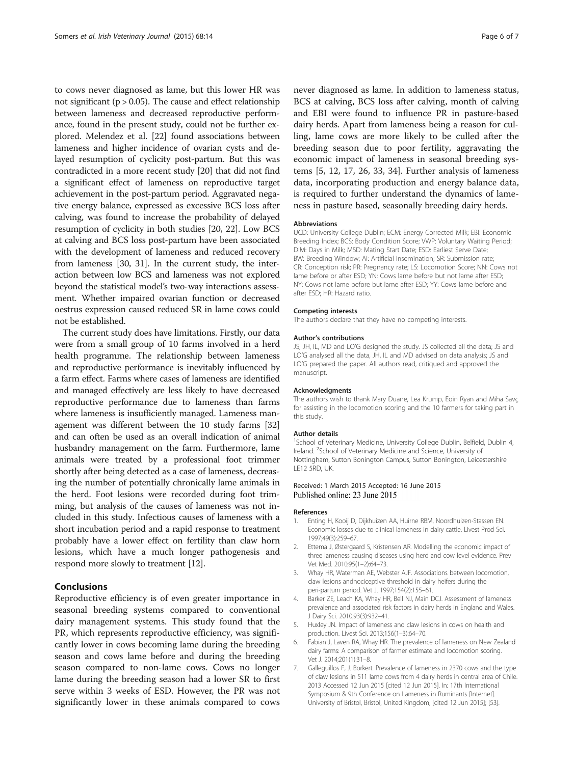<span id="page-5-0"></span>to cows never diagnosed as lame, but this lower HR was not significant ( $p > 0.05$ ). The cause and effect relationship between lameness and decreased reproductive performance, found in the present study, could not be further explored. Melendez et al. [\[22](#page-6-0)] found associations between lameness and higher incidence of ovarian cysts and delayed resumption of cyclicity post-partum. But this was contradicted in a more recent study [[20\]](#page-6-0) that did not find a significant effect of lameness on reproductive target achievement in the post-partum period. Aggravated negative energy balance, expressed as excessive BCS loss after calving, was found to increase the probability of delayed resumption of cyclicity in both studies [\[20, 22](#page-6-0)]. Low BCS at calving and BCS loss post-partum have been associated with the development of lameness and reduced recovery from lameness [\[30, 31\]](#page-6-0). In the current study, the interaction between low BCS and lameness was not explored beyond the statistical model's two-way interactions assessment. Whether impaired ovarian function or decreased oestrus expression caused reduced SR in lame cows could not be established.

The current study does have limitations. Firstly, our data were from a small group of 10 farms involved in a herd health programme. The relationship between lameness and reproductive performance is inevitably influenced by a farm effect. Farms where cases of lameness are identified and managed effectively are less likely to have decreased reproductive performance due to lameness than farms where lameness is insufficiently managed. Lameness management was different between the 10 study farms [[32](#page-6-0)] and can often be used as an overall indication of animal husbandry management on the farm. Furthermore, lame animals were treated by a professional foot trimmer shortly after being detected as a case of lameness, decreasing the number of potentially chronically lame animals in the herd. Foot lesions were recorded during foot trimming, but analysis of the causes of lameness was not included in this study. Infectious causes of lameness with a short incubation period and a rapid response to treatment probably have a lower effect on fertility than claw horn lesions, which have a much longer pathogenesis and respond more slowly to treatment [\[12\]](#page-6-0).

#### Conclusions

Reproductive efficiency is of even greater importance in seasonal breeding systems compared to conventional dairy management systems. This study found that the PR, which represents reproductive efficiency, was significantly lower in cows becoming lame during the breeding season and cows lame before and during the breeding season compared to non-lame cows. Cows no longer lame during the breeding season had a lower SR to first serve within 3 weeks of ESD. However, the PR was not significantly lower in these animals compared to cows never diagnosed as lame. In addition to lameness status, BCS at calving, BCS loss after calving, month of calving and EBI were found to influence PR in pasture-based dairy herds. Apart from lameness being a reason for culling, lame cows are more likely to be culled after the breeding season due to poor fertility, aggravating the economic impact of lameness in seasonal breeding systems [5, [12](#page-6-0), [17, 26, 33](#page-6-0), [34\]](#page-6-0). Further analysis of lameness data, incorporating production and energy balance data, is required to further understand the dynamics of lameness in pasture based, seasonally breeding dairy herds.

#### Abbreviations

UCD: University College Dublin; ECM: Energy Corrected Milk; EBI: Economic Breeding Index; BCS: Body Condition Score; VWP: Voluntary Waiting Period; DIM: Days in Milk; MSD: Mating Start Date; ESD: Earliest Serve Date; BW: Breeding Window; AI: Artificial Insemination; SR: Submission rate; CR: Conception risk; PR: Pregnancy rate; LS: Locomotion Score; NN: Cows not lame before or after ESD; YN: Cows lame before but not lame after ESD; NY: Cows not lame before but lame after ESD; YY: Cows lame before and after ESD; HR: Hazard ratio.

#### Competing interests

The authors declare that they have no competing interests.

#### Author's contributions

JS, JH, IL, MD and LO'G designed the study. JS collected all the data; JS and LO'G analysed all the data, JH, IL and MD advised on data analysis; JS and LO'G prepared the paper. All authors read, critiqued and approved the manuscript.

#### Acknowledgments

The authors wish to thank Mary Duane, Lea Krump, Eoin Ryan and Miha Savç for assisting in the locomotion scoring and the 10 farmers for taking part in this study.

#### Author details

<sup>1</sup>School of Veterinary Medicine, University College Dublin, Belfield, Dublin 4, Ireland. <sup>2</sup> School of Veterinary Medicine and Science, University of Nottingham, Sutton Bonington Campus, Sutton Bonington, Leicestershire LE12 5RD, UK.

## Received: 1 March 2015 Accepted: 16 June 2015<br>Published online: 23 June 2015

#### References

- 1. Enting H, Kooij D, Dijkhuizen AA, Huirne RBM, Noordhuizen-Stassen EN. Economic losses due to clinical lameness in dairy cattle. Livest Prod Sci. 1997;49(3):259–67.
- 2. Ettema J, Østergaard S, Kristensen AR. Modelling the economic impact of three lameness causing diseases using herd and cow level evidence. Prev Vet Med. 2010;95(1–2):64–73.
- 3. Whay HR, Waterman AE, Webster AJF. Associations between locomotion, claw lesions andnociceptive threshold in dairy heifers during the peri-partum period. Vet J. 1997;154(2):155–61.
- 4. Barker ZE, Leach KA, Whay HR, Bell NJ, Main DCJ. Assessment of lameness prevalence and associated risk factors in dairy herds in England and Wales. J Dairy Sci. 2010;93(3):932–41.
- 5. Huxley JN. Impact of lameness and claw lesions in cows on health and production. Livest Sci. 2013;156(1–3):64–70.
- 6. Fabian J, Laven RA, Whay HR. The prevalence of lameness on New Zealand dairy farms: A comparison of farmer estimate and locomotion scoring. Vet J. 2014;201(1):31–8.
- 7. Galleguillos F, J. Borkert. Prevalence of lameness in 2370 cows and the type of claw lesions in 511 lame cows from 4 dairy herds in central area of Chile. 2013 Accessed 12 Jun 2015 [cited 12 Jun 2015]. In: 17th International Symposium & 9th Conference on Lameness in Ruminants [Internet]. University of Bristol, Bristol, United Kingdom, [cited 12 Jun 2015]; [53].